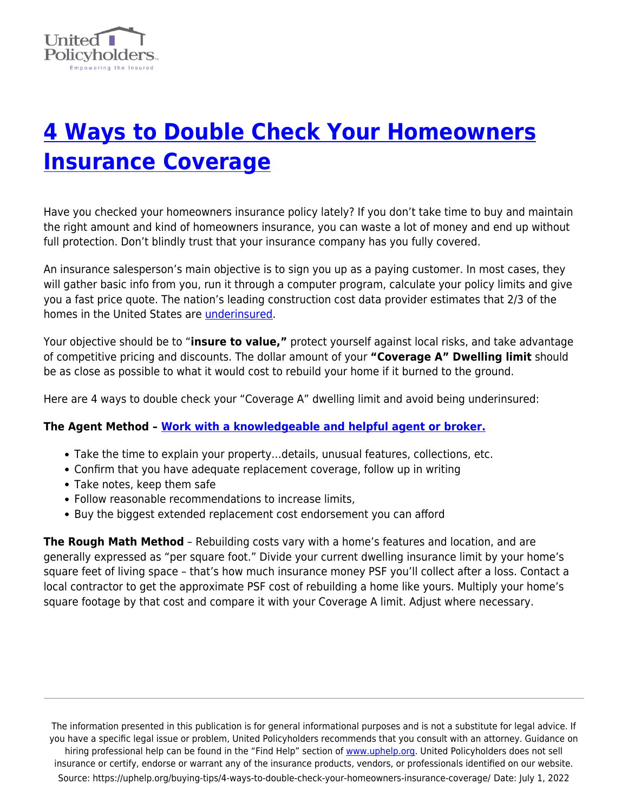

## **[4 Ways to Double Check Your Homeowners](https://uphelp.org/buying-tips/4-ways-to-double-check-your-homeowners-insurance-coverage/) [Insurance Coverage](https://uphelp.org/buying-tips/4-ways-to-double-check-your-homeowners-insurance-coverage/)**

Have you checked your homeowners insurance policy lately? If you don't take time to buy and maintain the right amount and kind of homeowners insurance, you can waste a lot of money and end up without full protection. Don't blindly trust that your insurance company has you fully covered.

An insurance salesperson's main objective is to sign you up as a paying customer. In most cases, they will gather basic info from you, run it through a computer program, calculate your policy limits and give you a fast price quote. The nation's leading construction cost data provider estimates that 2/3 of the homes in the United States are [underinsured.](https://uphelp.org/underinsurance-help-were-you-lulled-into-a-false-sense-of-security-or-did-you-intentionally-underinsure-your-biggest-asset/)

Your objective should be to "**insure to value,"** protect yourself against local risks, and take advantage of competitive pricing and discounts. The dollar amount of your **"Coverage A" Dwelling limit** should be as close as possible to what it would cost to rebuild your home if it burned to the ground.

Here are 4 ways to double check your "Coverage A" dwelling limit and avoid being underinsured:

## **The Agent Method – [Work with a knowledgeable and helpful agent or broker.](https://uphelp.org/buying-tips/picking-a-good-insurance-agent-or-broker/)**

- Take the time to explain your property…details, unusual features, collections, etc.
- Confirm that you have adequate replacement coverage, follow up in writing
- Take notes, keep them safe
- Follow reasonable recommendations to increase limits,
- Buy the biggest extended replacement cost endorsement you can afford

**The Rough Math Method** – Rebuilding costs vary with a home's features and location, and are generally expressed as "per square foot." Divide your current dwelling insurance limit by your home's square feet of living space – that's how much insurance money PSF you'll collect after a loss. Contact a local contractor to get the approximate PSF cost of rebuilding a home like yours. Multiply your home's square footage by that cost and compare it with your Coverage A limit. Adjust where necessary.

The information presented in this publication is for general informational purposes and is not a substitute for legal advice. If you have a specific legal issue or problem, United Policyholders recommends that you consult with an attorney. Guidance on hiring professional help can be found in the "Find Help" section of [www.uphelp.org.](http://www.uphelp.org/) United Policyholders does not sell insurance or certify, endorse or warrant any of the insurance products, vendors, or professionals identified on our website. Source: https://uphelp.org/buying-tips/4-ways-to-double-check-your-homeowners-insurance-coverage/ Date: July 1, 2022